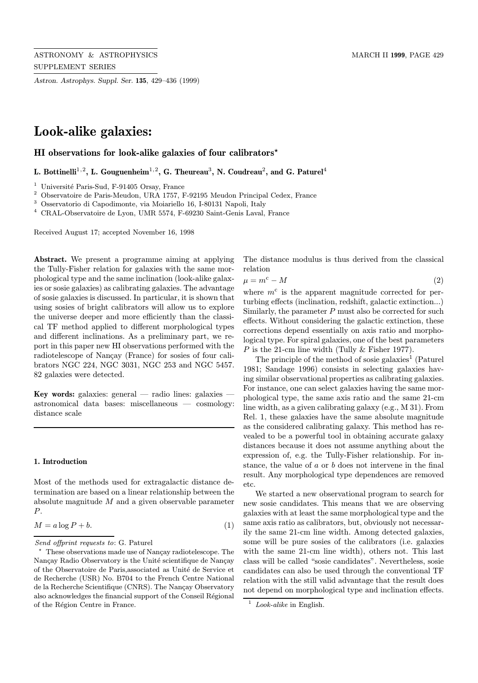Astron. Astrophys. Suppl. Ser. 135, 429–436 (1999)

# Look-alike galaxies:

HI observations for look-alike galaxies of four calibrators\*

L. Bottinelli<sup>1,2</sup>, L. Gouguenheim<sup>1,2</sup>, G. Theureau<sup>3</sup>, N. Coudreau<sup>2</sup>, and G. Paturel<sup>4</sup>

 $1$  Université Paris-Sud, F-91405 Orsay, France

<sup>2</sup> Observatoire de Paris-Meudon, URA 1757, F-92195 Meudon Principal Cedex, France

 $^3$  Osservatorio di Capodimonte, via Moiariello 16, I-80131 Napoli, Italy

 $^4\,$  CRAL-Observatoire de Lyon, UMR 5574, F-69230 Saint-Genis Laval, France

Received August 17; accepted November 16, 1998

Abstract. We present a programme aiming at applying the Tully-Fisher relation for galaxies with the same morphological type and the same inclination (look-alike galaxies or sosie galaxies) as calibrating galaxies. The advantage of sosie galaxies is discussed. In particular, it is shown that using sosies of bright calibrators will allow us to explore the universe deeper and more efficiently than the classical TF method applied to different morphological types and different inclinations. As a preliminary part, we report in this paper new HI observations performed with the radiotelescope of Nançay (France) for sosies of four calibrators NGC 224, NGC 3031, NGC 253 and NGC 5457. 82 galaxies were detected.

Key words: galaxies: general — radio lines: galaxies astronomical data bases: miscellaneous — cosmology: distance scale

#### 1. Introduction

Most of the methods used for extragalactic distance determination are based on a linear relationship between the absolute magnitude  $M$  and a given observable parameter P.

$$
M = a \log P + b. \tag{1}
$$

The distance modulus is thus derived from the classical relation

$$
\mu = m^c - M \tag{2}
$$

where  $m<sup>c</sup>$  is the apparent magnitude corrected for perturbing effects (inclination, redshift, galactic extinction...) Similarly, the parameter  $P$  must also be corrected for such effects. Without considering the galactic extinction, these corrections depend essentially on axis ratio and morphological type. For spiral galaxies, one of the best parameters P is the 21-cm line width (Tully  $&$  Fisher 1977).

The principle of the method of sosie galaxies<sup>1</sup> (Paturel 1981; Sandage 1996) consists in selecting galaxies having similar observational properties as calibrating galaxies. For instance, one can select galaxies having the same morphological type, the same axis ratio and the same 21-cm line width, as a given calibrating galaxy (e.g., M 31). From Rel. 1, these galaxies have the same absolute magnitude as the considered calibrating galaxy. This method has revealed to be a powerful tool in obtaining accurate galaxy distances because it does not assume anything about the expression of, e.g. the Tully-Fisher relationship. For instance, the value of a or b does not intervene in the final result. Any morphological type dependences are removed etc.

We started a new observational program to search for new sosie candidates. This means that we are observing galaxies with at least the same morphological type and the same axis ratio as calibrators, but, obviously not necessarily the same 21-cm line width. Among detected galaxies, some will be pure sosies of the calibrators (i.e. galaxies with the same 21-cm line width), others not. This last class will be called "sosie candidates". Nevertheless, sosie candidates can also be used through the conventional TF relation with the still valid advantage that the result does not depend on morphological type and inclination effects.

Send offprint requests to: G. Paturel

These observations made use of Nançay radiotelescope. The Nançay Radio Observatory is the Unité scientifique de Nançay of the Observatoire de Paris, associated as Unité de Service et de Recherche (USR) No. B704 to the French Centre National de la Recherche Scientifique (CNRS). The Nançay Observatory also acknowledges the financial support of the Conseil Régional of the Région Centre in France.

 $1$  Look-alike in English.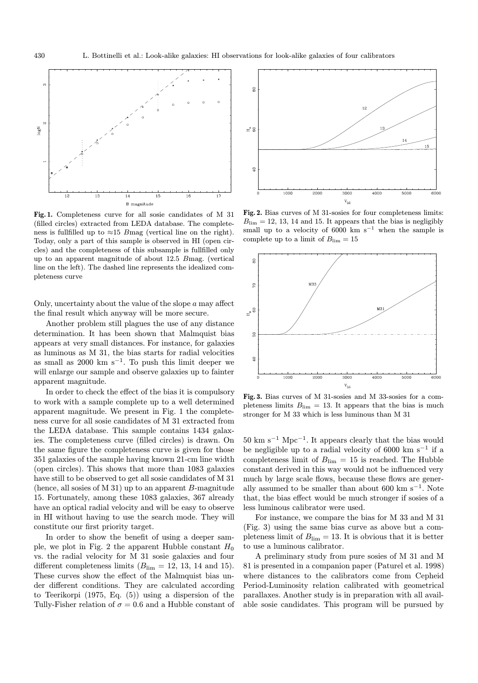

Fig. 1. Completeness curve for all sosie candidates of M 31 (filled circles) extracted from LEDA database. The completeness is fullfilled up to  $\approx$ 15 Bmag (vertical line on the right). Today, only a part of this sample is observed in HI (open circles) and the completeness of this subsample is fullfilled only up to an apparent magnitude of about 12.5 Bmag. (vertical line on the left). The dashed line represents the idealized completeness curve

Only, uncertainty about the value of the slope  $a$  may affect the final result which anyway will be more secure.

Another problem still plagues the use of any distance determination. It has been shown that Malmquist bias appears at very small distances. For instance, for galaxies as luminous as M 31, the bias starts for radial velocities as small as 2000 km s<sup> $-1$ </sup>. To push this limit deeper we will enlarge our sample and observe galaxies up to fainter apparent magnitude.

In order to check the effect of the bias it is compulsory to work with a sample complete up to a well determined apparent magnitude. We present in Fig. 1 the completeness curve for all sosie candidates of M 31 extracted from the LEDA database. This sample contains 1434 galaxies. The completeness curve (filled circles) is drawn. On the same figure the completeness curve is given for those 351 galaxies of the sample having known 21-cm line width (open circles). This shows that more than 1083 galaxies have still to be observed to get all sosie candidates of M 31 (hence, all sosies of M 31) up to an apparent  $B$ -magnitude 15. Fortunately, among these 1083 galaxies, 367 already have an optical radial velocity and will be easy to observe in HI without having to use the search mode. They will constitute our first priority target.

In order to show the benefit of using a deeper sample, we plot in Fig. 2 the apparent Hubble constant  $H_0$ vs. the radial velocity for M 31 sosie galaxies and four different completeness limits  $(B_{\text{lim}} = 12, 13, 14 \text{ and } 15)$ . These curves show the effect of the Malmquist bias under different conditions. They are calculated according to Teerikorpi (1975, Eq. (5)) using a dispersion of the Tully-Fisher relation of  $\sigma = 0.6$  and a Hubble constant of



Fig. 2. Bias curves of M 31-sosies for four completeness limits:  $B_{\text{lim}} = 12, 13, 14$  and 15. It appears that the bias is negligibly small up to a velocity of 6000 km s<sup> $-1$ </sup> when the sample is complete up to a limit of  $B_{\text{lim}} = 15$ 



Fig. 3. Bias curves of M 31-sosies and M 33-sosies for a completeness limits  $B_{\text{lim}} = 13$ . It appears that the bias is much stronger for M 33 which is less luminous than M 31

 $50 \text{ km s}^{-1} \text{ Mpc}^{-1}$ . It appears clearly that the bias would be negligible up to a radial velocity of 6000 km s<sup>-1</sup> if a completeness limit of  $B_{\text{lim}} = 15$  is reached. The Hubble constant derived in this way would not be influenced very much by large scale flows, because these flows are generally assumed to be smaller than about 600 km s<sup> $-1$ </sup>. Note that, the bias effect would be much stronger if sosies of a less luminous calibrator were used.

For instance, we compare the bias for M 33 and M 31 (Fig. 3) using the same bias curve as above but a completeness limit of  $B_{\text{lim}} = 13$ . It is obvious that it is better to use a luminous calibrator.

A preliminary study from pure sosies of M 31 and M 81 is presented in a companion paper (Paturel et al. 1998) where distances to the calibrators come from Cepheid Period-Luminosity relation calibrated with geometrical parallaxes. Another study is in preparation with all available sosie candidates. This program will be pursued by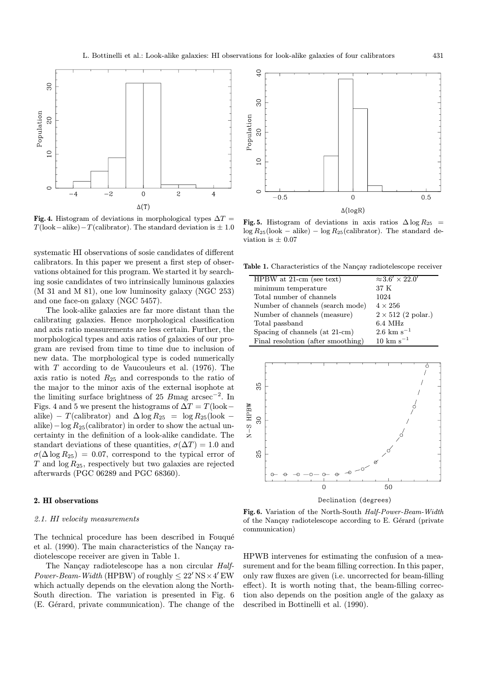

Fig. 4. Histogram of deviations in morphological types  $\Delta T =$  $T($ look−alike)− $T($ calibrator). The standard deviation is  $\pm 1.0$ 

systematic HI observations of sosie candidates of different calibrators. In this paper we present a first step of observations obtained for this program. We started it by searching sosie candidates of two intrinsically luminous galaxies (M 31 and M 81), one low luminosity galaxy (NGC 253) and one face-on galaxy (NGC 5457).

The look-alike galaxies are far more distant than the calibrating galaxies. Hence morphological classification and axis ratio measurements are less certain. Further, the morphological types and axis ratios of galaxies of our program are revised from time to time due to inclusion of new data. The morphological type is coded numerically with  $T$  according to de Vaucouleurs et al. (1976). The axis ratio is noted  $R_{25}$  and corresponds to the ratio of the major to the minor axis of the external isophote at the limiting surface brightness of 25 Bmag  $\arcsc^{-2}$ . In Figs. 4 and 5 we present the histograms of  $\Delta T = T$ (look– alike) – T(calibrator) and  $\Delta \log R_{25} = \log R_{25}(\text{look}$ alike) – log  $R_{25}$ (calibrator) in order to show the actual uncertainty in the definition of a look-alike candidate. The standart deviations of these quantities,  $\sigma(\Delta T) = 1.0$  and  $\sigma(\Delta \log R_{25})=0.07$ , correspond to the typical error of T and  $\log R_{25}$ , respectively but two galaxies are rejected afterwards (PGC 06289 and PGC 68360).

### 2. HI observations

#### 2.1. HI velocity measurements

The technical procedure has been described in Fouqué et al. (1990). The main characteristics of the Nançay radiotelescope receiver are given in Table 1.

The Nançay radiotelescope has a non circular *Half-Power-Beam-Width* (HPBW) of roughly  $\leq 22'$  NS  $\times$  4' EW which actually depends on the elevation along the North-South direction. The variation is presented in Fig. 6 (E. Gérard, private communication). The change of the



Fig. 5. Histogram of deviations in axis ratios  $\Delta \log R_{25}$  =  $\log R_{25}(\text{look} - \text{alike}) - \log R_{25}(\text{calibration}).$  The standard deviation is  $\pm$  0.07

Table 1. Characteristics of the Nancay radiotelescope receiver

| $HPBW$ at 21-cm (see text)         | $\approx 3.6' \times 22.0'$ |
|------------------------------------|-----------------------------|
| minimum temperature                | 37 K                        |
| Total number of channels           | 1024                        |
| Number of channels (search mode)   | $4 \times 256$              |
| Number of channels (measure)       | $2 \times 512$ (2 polar.)   |
| Total passband                     | $6.4\text{ MHz}$            |
| Spacing of channels (at 21-cm)     | $2.6 \text{ km s}^{-1}$     |
| Final resolution (after smoothing) | $10 \;{\rm km\;s^{-1}}$     |



Fig. 6. Variation of the North-South Half-Power-Beam-Width of the Nançay radiotelescope according to E. Gérard (private communication)

HPWB intervenes for estimating the confusion of a measurement and for the beam filling correction. In this paper, only raw fluxes are given (i.e. uncorrected for beam-filling effect). It is worth noting that, the beam-filling correction also depends on the position angle of the galaxy as described in Bottinelli et al. (1990).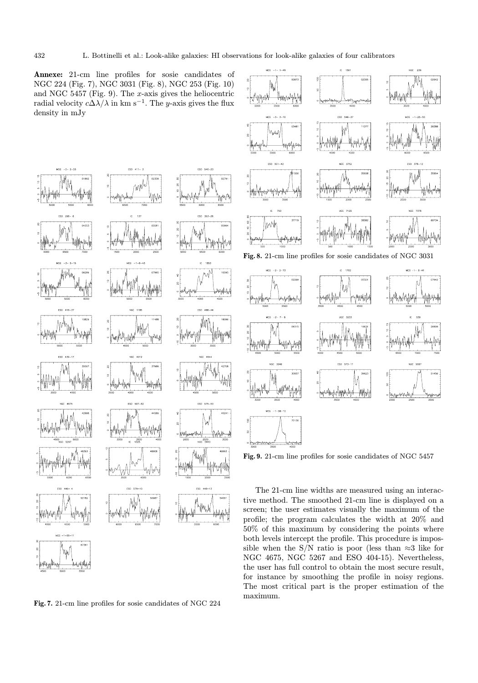Annexe: 21-cm line profiles for sosie candidates of NGC 224 (Fig. 7), NGC 3031 (Fig. 8), NGC 253 (Fig. 10) and NGC 5457 (Fig. 9). The x-axis gives the heliocentric radial velocity  $c\Delta\lambda/\lambda$  in km s<sup>-1</sup>. The y-axis gives the flux density in mJy

ESO 411-3



 $\sim$  160

Fig. 9. 21-cm line profiles for sosie candidates of NGC 5457

The 21-cm line widths are measured using an interactive method. The smoothed 21-cm line is displayed on a screen; the user estimates visually the maximum of the profile; the program calculates the width at 20% and 50% of this maximum by considering the points where both levels intercept the profile. This procedure is impossible when the S/N ratio is poor (less than  $\approx$ 3 like for NGC 4675, NGC 5267 and ESO 404-15). Nevertheless, the user has full control to obtain the most secure result, for instance by smoothing the profile in noisy regions. The most critical part is the proper estimation of the maximum.



Fig. 7. 21-cm line profiles for sosie candidates of NGC 224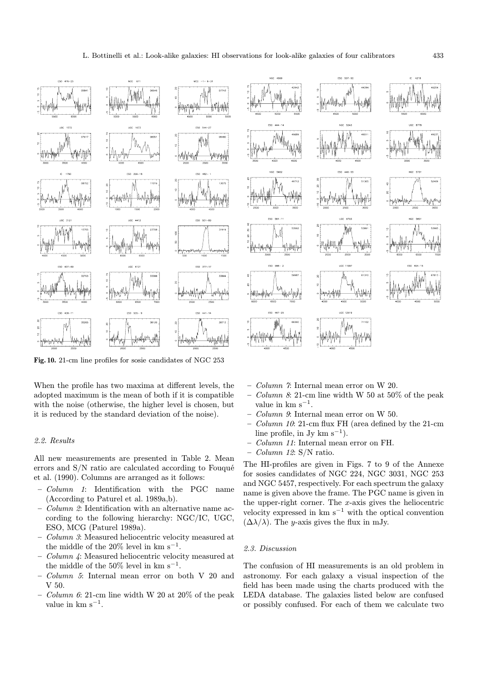

Fig. 10. 21-cm line profiles for sosie candidates of NGC 253

When the profile has two maxima at different levels, the adopted maximum is the mean of both if it is compatible with the noise (otherwise, the higher level is chosen, but it is reduced by the standard deviation of the noise).

## 2.2. Results

All new measurements are presented in Table 2. Mean errors and  $S/N$  ratio are calculated according to Fouqué et al. (1990). Columns are arranged as it follows:

- Column 1: Identification with the PGC name (According to Paturel et al. 1989a,b).
- Column 2: Identification with an alternative name according to the following hierarchy: NGC/IC, UGC, ESO, MCG (Paturel 1989a).
- Column 3: Measured heliocentric velocity measured at the middle of the 20% level in km s<sup>−1</sup>.
- Column 4: Measured heliocentric velocity measured at the middle of the  $50\%$  level in km s<sup>-1</sup>.
- Column 5: Internal mean error on both V 20 and V 50.
- $-$  *Column 6*: 21-cm line width W 20 at 20% of the peak value in km  $s^{-1}$ .



- Column 7: Internal mean error on W 20.
- $Column 8: 21-cm$  line width W 50 at 50% of the peak value in km  $\rm s^{-1}.$
- Column 9: Internal mean error on W 50.
- Column 10: 21-cm flux FH (area defined by the 21-cm line profile, in Jy km s<sup>-1</sup>).
- Column 11: Internal mean error on FH.
- $-$  *Column 12*: S/N ratio.

The HI-profiles are given in Figs. 7 to 9 of the Annexe for sosies candidates of NGC 224, NGC 3031, NGC 253 and NGC 5457, respectively. For each spectrum the galaxy name is given above the frame. The PGC name is given in the upper-right corner. The  $x$ -axis gives the heliocentric velocity expressed in  $km s^{-1}$  with the optical convention  $(\Delta\lambda/\lambda)$ . The y-axis gives the flux in mJy.

#### 2.3. Discussion

The confusion of HI measurements is an old problem in astronomy. For each galaxy a visual inspection of the field has been made using the charts produced with the LEDA database. The galaxies listed below are confused or possibly confused. For each of them we calculate two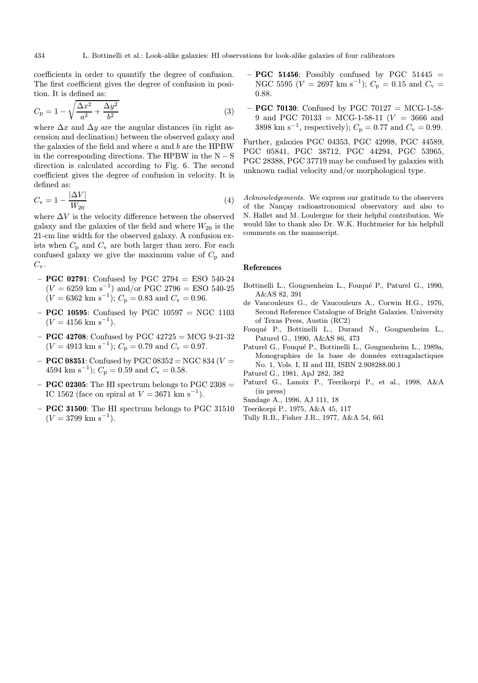coefficients in order to quantify the degree of confusion. The first coefficient gives the degree of confusion in position. It is defined as:

$$
C_{\rm p} = 1 - \sqrt{\frac{\Delta x^2}{a^2} + \frac{\Delta y^2}{b^2}}
$$
 (3)

where  $\Delta x$  and  $\Delta y$  are the angular distances (in right ascension and declination) between the observed galaxy and the galaxies of the field and where  $a$  and  $b$  are the HPBW in the corresponding directions. The HPBW in the  $N-S$ direction is calculated according to Fig. 6. The second coefficient gives the degree of confusion in velocity. It is defined as:

$$
C_{\rm v} = 1 - \frac{|\Delta V|}{W_{20}}\tag{4}
$$

where  $\Delta V$  is the velocity difference between the observed galaxy and the galaxies of the field and where  $W_{20}$  is the 21-cm line width for the observed galaxy. A confusion exists when  $C_p$  and  $C_v$  are both larger than zero. For each confused galaxy we give the maximum value of  $C_p$  and  $C_{\rm v}$ .

- **PGC 02791**: Confused by PGC 2794 = ESO 540-24  $(V = 6259 \text{ km s}^{-1})$  and/or PGC 2796 = ESO 540-25  $(V = 6362 \text{ km s}^{-1})$ ;  $C_p = 0.83$  and  $C_v = 0.96$ .
- **PGC 10595**: Confused by PGC 10597 = NGC 1103  $(V = 4156$  km s<sup>-1</sup>).
- $-$  **PGC 42708**: Confused by PGC 42725 = MCG 9-21-32  $(V = 4913$  km s<sup>-1</sup>);  $C_p = 0.79$  and  $C_v = 0.97$ .
- $-$  **PGC 08351**: Confused by PGC 08352 = NGC 834 ( $V$  = 4594 km s<sup>-1</sup>);  $C_p = 0.59$  and  $C_v = 0.58$ .
- **PGC 02305:** The HI spectrum belongs to PGC 2308  $=$ IC 1562 (face on spiral at  $V = 3671 \text{ km s}^{-1}$ ).
- PGC 31500: The HI spectrum belongs to PGC 31510  $(V = 3799$  km s<sup>-1</sup>).
- $-$  **PGC 51456**: Possibly confused by PGC 51445  $=$ NGC 5595 ( $V = 2697$  km s<sup>-1</sup>);  $C_p = 0.15$  and  $C_v =$ 0.88.
- $-$  **PGC 70130**: Confused by PGC 70127 = MCG-1-58-9 and PGC 70133 = MCG-1-58-11 ( $V = 3666$  and 3898 km s<sup>-1</sup>, respectively);  $C_p = 0.77$  and  $C_v = 0.99$ .

Further, galaxies PGC 04353, PGC 42998, PGC 44589, PGC 05841, PGC 38712, PGC 44294, PGC 53965, PGC 28388, PGC 37719 may be confused by galaxies with unknown radial velocity and/or morphological type.

Acknowledgements. We express our gratitude to the observers of the Nancay radioastronomical observatory and also to N. Hallet and M. Loulergue for their helpful contribution. We would like to thank also Dr. W.K. Huchtmeier for his helpfull comments on the manuscript.

#### References

- Bottinelli L., Gouguenheim L., Fouqué P., Paturel G., 1990, A&AS 82, 391
- de Vaucouleurs G., de Vaucouleurs A., Corwin H.G., 1976, Second Reference Catalogue of Bright Galaxies. University of Texas Press, Austin (RC2)
- Fouqu´e P., Bottinelli L., Durand N., Gouguenheim L., Paturel G., 1990, A&AS 86, 473
- Paturel G., Fouqué P., Bottinelli L., Gouguenheim L., 1989a, Monographies de la base de données extragalactiques No. 1, Vols. I, II and III, ISBN 2.908288.00.1
- Paturel G., 1981, ApJ 282, 382
- Paturel G., Lanoix P., Teerikorpi P., et al., 1998, A&A (in press)
- Sandage A., 1996, AJ 111, 18
- Teerikorpi P., 1975, A&A 45, 117
- Tully R.B., Fisher J.R., 1977, A&A 54, 661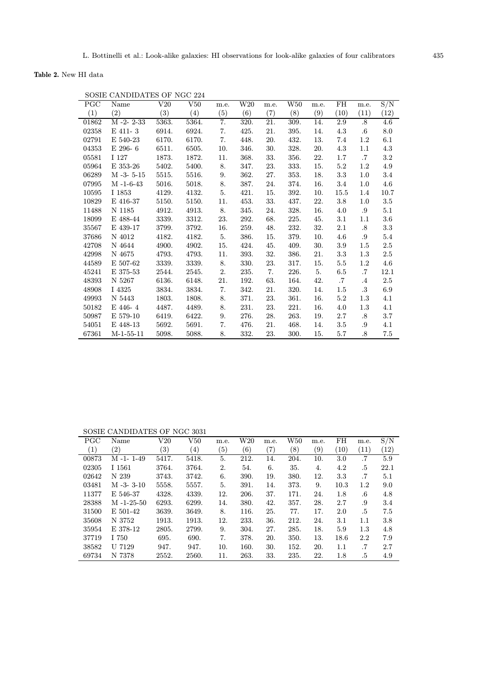Table 2. New HI data

| PGC   | Name             | V20   | V50   | m.e. | $_{\rm W20}$ | m.e. | ${\rm W50}$ | m.e. | FH        | m.e.      | S/N     |
|-------|------------------|-------|-------|------|--------------|------|-------------|------|-----------|-----------|---------|
| (1)   | (2)              | (3)   | (4)   | (5)  | (6)          | (7)  | (8)         | (9)  | (10)      | (11)      | (12)    |
| 01862 | $M - 2 - 2 - 33$ | 5363. | 5364. | 7.   | 320.         | 21.  | 309.        | 14.  | 2.9       | .8        | 4.6     |
| 02358 | E 411-3          | 6914. | 6924. | 7.   | 425.         | 21.  | 395.        | 14.  | 4.3       | .6        | 8.0     |
| 02791 | E 540-23         | 6170. | 6170. | 7.   | 448.         | 20.  | 432.        | 13.  | 7.4       | $1.2\,$   | 6.1     |
| 04353 | $E$ 296-6        | 6511. | 6505. | 10.  | 346.         | 30.  | 328.        | 20.  | 4.3       | 1.1       | 4.3     |
| 05581 | I 127            | 1873. | 1872. | 11.  | 368.         | 33.  | 356.        | 22.  | 1.7       | $\cdot 7$ | $3.2\,$ |
| 05964 | E 353-26         | 5402. | 5400. | 8.   | 347.         | 23.  | 333.        | 15.  | 5.2       | $1.2\,$   | 4.9     |
| 06289 | $M -3 - 5 - 15$  | 5515. | 5516. | 9.   | 362.         | 27.  | 353.        | 18.  | 3.3       | 1.0       | 3.4     |
| 07995 | $M - 1 - 6 - 43$ | 5016. | 5018. | 8.   | 387.         | 24.  | 374.        | 16.  | 3.4       | 1.0       | 4.6     |
| 10595 | I 1853           | 4129. | 4132. | 5.   | 421.         | 15.  | 392.        | 10.  | 15.5      | 1.4       | 10.7    |
| 10829 | E 416-37         | 5150. | 5150. | 11.  | 453.         | 33.  | 437.        | 22.  | 3.8       | 1.0       | 3.5     |
| 11488 | N 1185           | 4912. | 4913. | 8.   | 345.         | 24.  | 328.        | 16.  | 4.0       | .9        | 5.1     |
| 18099 | E 488-44         | 3339. | 3312. | 23.  | 292.         | 68.  | 225.        | 45.  | 3.1       | 1.1       | 3.6     |
| 35567 | E 439-17         | 3799. | 3792. | 16.  | 259.         | 48.  | 232.        | 32.  | 2.1       | .8        | 3.3     |
| 37686 | N 4012           | 4182. | 4182. | 5.   | 386.         | 15.  | 379.        | 10.  | 4.6       | .9        | 5.4     |
| 42708 | N 4644           | 4900. | 4902. | 15.  | 424.         | 45.  | 409.        | 30.  | 3.9       | 1.5       | 2.5     |
| 42998 | N 4675           | 4793. | 4793. | 11.  | 393.         | 32.  | 386.        | 21.  | 3.3       | 1.3       | $2.5\,$ |
| 44589 | E 507-62         | 3339. | 3339. | 8.   | 330.         | 23.  | 317.        | 15.  | $5.5\,$   | $1.2\,$   | 4.6     |
| 45241 | E 375-53         | 2544. | 2545. | 2.   | 235.         | 7.   | 226.        | 5.   | 6.5       | .7        | 12.1    |
| 48393 | N 5267           | 6136. | 6148. | 21.  | 192.         | 63.  | 164.        | 42.  | $\cdot 7$ | $\cdot$ 4 | 2.5     |
| 48908 | I 4325           | 3834. | 3834. | 7.   | 342.         | 21.  | 320.        | 14.  | $1.5\,$   | $\cdot 3$ | 6.9     |
| 49993 | N 5443           | 1803. | 1808. | 8.   | 371.         | 23.  | 361.        | 16.  | 5.2       | 1.3       | 4.1     |
| 50182 | E 446-4          | 4487. | 4489. | 8.   | 231.         | 23.  | 221.        | 16.  | 4.0       | 1.3       | 4.1     |
| 50987 | E 579-10         | 6419. | 6422. | 9.   | 276.         | 28.  | 263.        | 19.  | 2.7       | .8        | 3.7     |
| 54051 | E 448-13         | 5692. | 5691. | 7.   | 476.         | 21.  | 468.        | 14.  | 3.5       | .9        | 4.1     |
| 67361 | $M-1-55-11$      | 5098. | 5088. | 8.   | 332.         | 23.  | 300.        | 15.  | 5.7       | .8        | 7.5     |

SOSIE CANDIDATES OF NGC 224

SOSIE CANDIDATES OF NGC 3031

| <b>PGC</b> | Name              | V20               | ${\rm V}50$ | m.e. | $\operatorname{W20}$ | m.e.              | W50  | m.e. | FH      | m.e.    | S/N  |
|------------|-------------------|-------------------|-------------|------|----------------------|-------------------|------|------|---------|---------|------|
| (1)        | $\left( 2\right)$ | $\left( 3\right)$ | (4)         | (5)  | (6)                  | $\left( 7\right)$ | (8)  | (9)  | (10)    | (11)    | (12) |
| 00873      | $M - 1 - 1 - 49$  | 5417.             | 5418.       | 5.   | 212.                 | 14.               | 204. | 10.  | 3.0     | .7      | 5.9  |
| 02305      | I 1561            | 3764.             | 3764.       | 2.   | 54.                  | 6.                | 35.  | 4.   | 4.2     | .5      | 22.1 |
| 02642      | N 239             | 3743.             | 3742.       | 6.   | 390.                 | 19.               | 380. | 12.  | 3.3     | .7      | 5.1  |
| 03481      | $M - 3 - 3 - 10$  | 5558.             | 5557.       | 5.   | 391.                 | 14.               | 373. | 9.   | 10.3    | 1.2     | 9.0  |
| 11377      | E 546-37          | 4328.             | 4339.       | 12.  | 206.                 | 37.               | 171. | 24.  | 1.8     | $.6\,$  | 4.8  |
| 28388      | $M - 1 - 25 - 50$ | 6293.             | 6299.       | 14.  | 380.                 | 42.               | 357. | 28.  | 2.7     | .9      | 3.4  |
| 31500      | E 501-42          | 3639.             | 3649.       | 8.   | 116.                 | 25.               | 77.  | 17.  | 2.0     | .5      | 7.5  |
| 35608      | N 3752            | 1913.             | 1913.       | 12.  | 233.                 | 36.               | 212. | 24.  | $3.1\,$ | $1.1\,$ | 3.8  |
| 35954      | E 378-12          | 2805.             | 2799.       | 9.   | 304.                 | 27.               | 285. | 18.  | 5.9     | $1.3\,$ | 4.8  |
| 37719      | I 750             | 695.              | 690.        | 7.   | 378.                 | 20.               | 350. | 13.  | 18.6    | 2.2     | 7.9  |
| 38582      | U 7129            | 947.              | 947.        | 10.  | 160.                 | 30.               | 152. | 20.  | 1.1     | .7      | 2.7  |
| 69734      | N 7378            | 2552.             | 2560.       | 11.  | 263.                 | 33.               | 235. | 22.  | 1.8     | .5      | 4.9  |